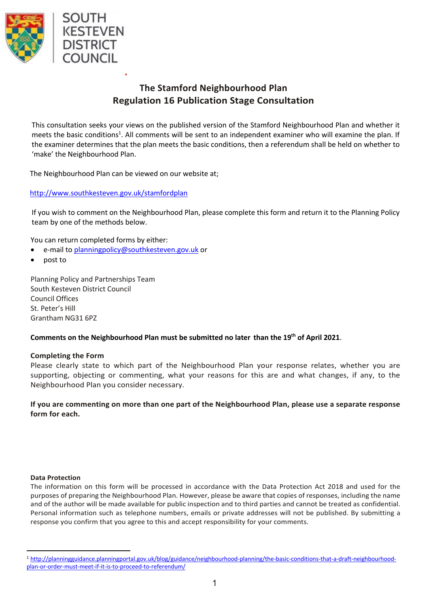

# **The Stamford Neighbourhood Plan Regulation 16 Publication Stage Consultation**

This consultation seeks your views on the published version of the Stamford Neighbourhood Plan and whether it meets the basic conditions<sup>1</sup>. All comments will be sent to an independent examiner who will examine the plan. If the examiner determines that the plan meets the basic conditions, then a referendum shall be held on whether to 'make' the Neighbourhood Plan.

The Neighbourhood Plan can be viewed on our website at;

### http://www.southkesteven.gov.uk/stamfordplan

If you wish to comment on the Neighbourhood Plan, please complete this form and return it to the Planning Policy team by one of the methods below.

You can return completed forms by either:

- e-mail to planningpolicy@southkesteven.gov.uk or
- post to

Planning Policy and Partnerships Team South Kesteven District Council Council Offices St. Peter's Hill Grantham NG31 6PZ

#### **Comments on the Neighbourhood Plan must be submitted no later than the 19th of April 2021**.

#### **Completing the Form**

Please clearly state to which part of the Neighbourhood Plan your response relates, whether you are supporting, objecting or commenting, what your reasons for this are and what changes, if any, to the Neighbourhood Plan you consider necessary.

**If you are commenting on more than one part of the Neighbourhood Plan, please use a separate response form for each.**

#### **Data Protection**

The information on this form will be processed in accordance with the Data Protection Act 2018 and used for the purposes of preparing the Neighbourhood Plan. However, please be aware that copies of responses, including the name and of the author will be made available for public inspection and to third parties and cannot be treated as confidential. Personal information such as telephone numbers, emails or private addresses will not be published. By submitting a response you confirm that you agree to this and accept responsibility for your comments.

<sup>1</sup> http://planningguidance.planningportal.gov.uk/blog/guidance/neighbourhood-planning/the-basic-conditions-that-a-draft-neighbourhoodplan-or-order-must-meet-if-it-is-to-proceed-to-referendum/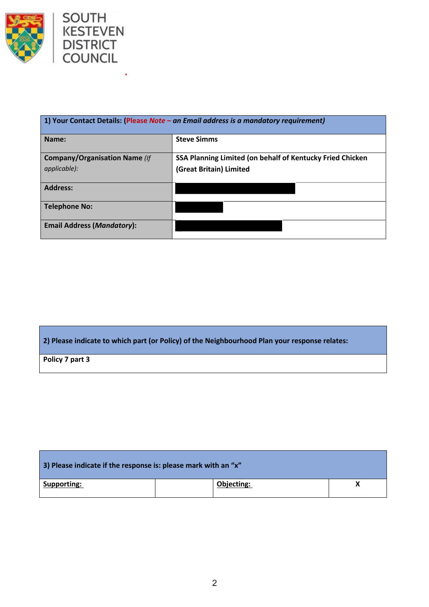



Î,

| 1) Your Contact Details: (Please Note - an Email address is a mandatory requirement) |                                                           |  |  |
|--------------------------------------------------------------------------------------|-----------------------------------------------------------|--|--|
| Name:                                                                                | <b>Steve Simms</b>                                        |  |  |
| <b>Company/Organisation Name (If</b>                                                 | SSA Planning Limited (on behalf of Kentucky Fried Chicken |  |  |
| applicable):                                                                         | (Great Britain) Limited                                   |  |  |
| <b>Address:</b>                                                                      |                                                           |  |  |
| <b>Telephone No:</b>                                                                 |                                                           |  |  |
| <b>Email Address (Mandatory):</b>                                                    |                                                           |  |  |

## **2) Please indicate to which part (or Policy) of the Neighbourhood Plan your response relates:**

**Policy 7 part 3**

| 3) Please indicate if the response is: please mark with an "x" |            |  |  |  |
|----------------------------------------------------------------|------------|--|--|--|
| Supporting:                                                    | Objecting: |  |  |  |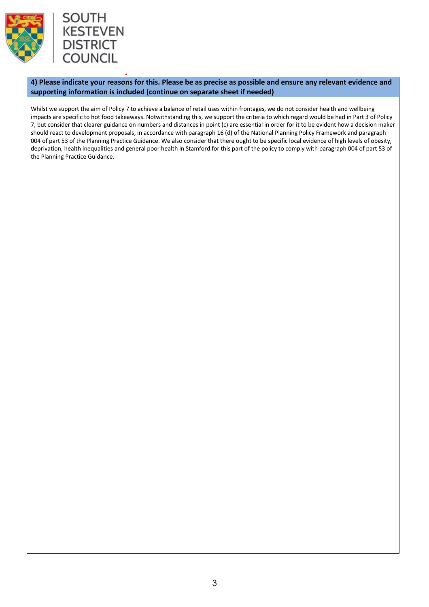



**4) Please indicate your reasons for this. Please be as precise as possible and ensure any relevant evidence and supporting information is included (continue on separate sheet if needed)** 

Whilst we support the aim of Policy 7 to achieve a balance of retail uses within frontages, we do not consider health and wellbeing impacts are specific to hot food takeaways. Notwithstanding this, we support the criteria to which regard would be had in Part 3 of Policy 7, but consider that clearer guidance on numbers and distances in point (c) are essential in order for it to be evident how a decision maker should react to development proposals, in accordance with paragraph 16 (d) of the National Planning Policy Framework and paragraph 004 of part 53 of the Planning Practice Guidance. We also consider that there ought to be specific local evidence of high levels of obesity, deprivation, health inequalities and general poor health in Stamford for this part of the policy to comply with paragraph 004 of part 53 of the Planning Practice Guidance.